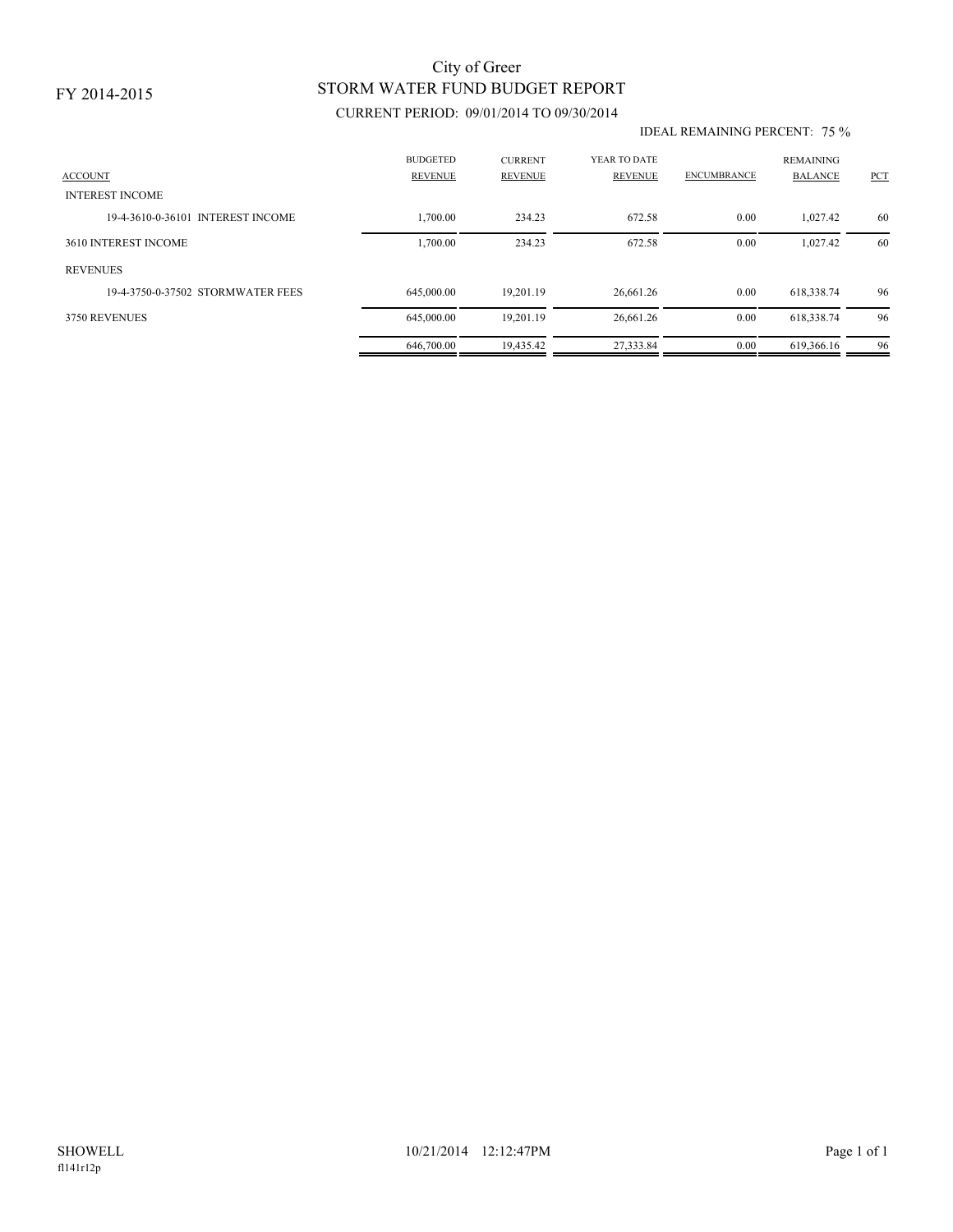### FY 2014-2015

## STORM WATER FUND BUDGET REPORT City of Greer

### CURRENT PERIOD: 09/01/2014 TO 09/30/2014

#### IDEAL REMAINING PERCENT: 75 %

| <b>ACCOUNT</b>                    | <b>BUDGETED</b><br><b>REVENUE</b> | <b>CURRENT</b><br><b>REVENUE</b> | YEAR TO DATE<br>REVENUE | <b>ENCUMBRANCE</b> | <b>REMAINING</b><br><b>BALANCE</b> | PCT |
|-----------------------------------|-----------------------------------|----------------------------------|-------------------------|--------------------|------------------------------------|-----|
| <b>INTEREST INCOME</b>            |                                   |                                  |                         |                    |                                    |     |
| 19-4-3610-0-36101 INTEREST INCOME | 1,700.00                          | 234.23                           | 672.58                  | 0.00               | 1.027.42                           | 60  |
| 3610 INTEREST INCOME              | 1,700.00                          | 234.23                           | 672.58                  | 0.00               | 1,027.42                           | 60  |
| <b>REVENUES</b>                   |                                   |                                  |                         |                    |                                    |     |
| 19-4-3750-0-37502 STORMWATER FEES | 645,000.00                        | 19.201.19                        | 26,661.26               | 0.00               | 618,338.74                         | 96  |
| 3750 REVENUES                     | 645,000.00                        | 19.201.19                        | 26,661.26               | 0.00               | 618,338.74                         | 96  |
|                                   | 646,700.00                        | 19.435.42                        | 27.333.84               | 0.00               | 619.366.16                         | 96  |